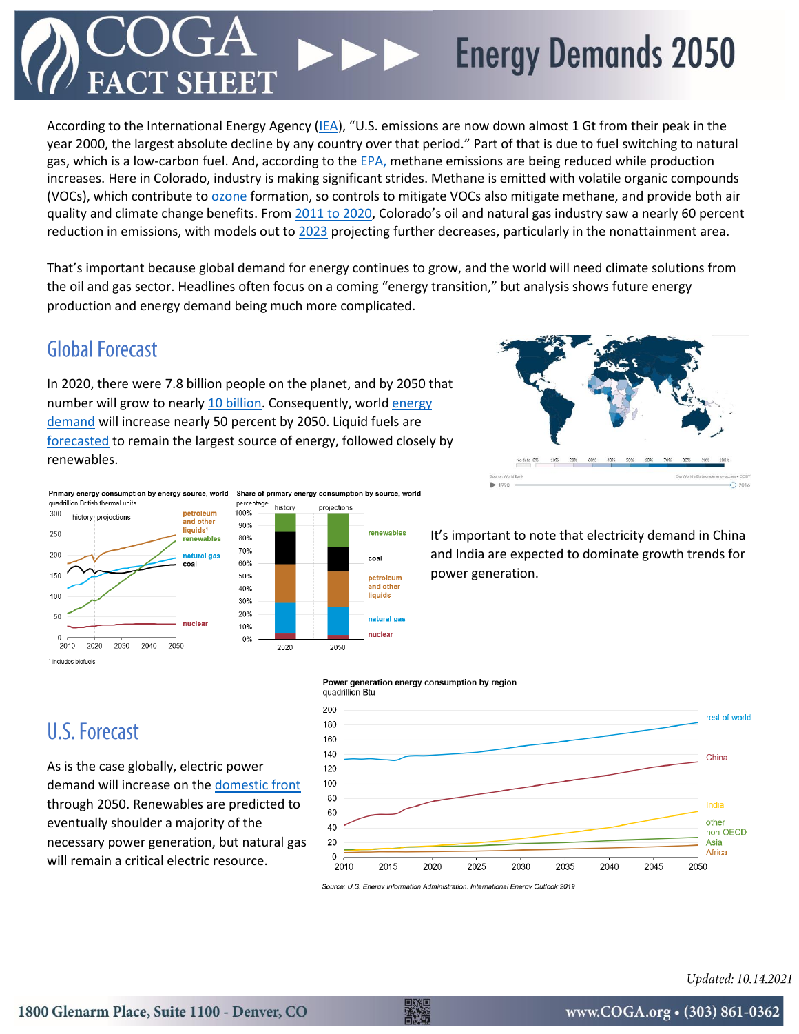## **Energy Demands 2050**

According to the International Energy Agency [\(IEA\)](https://www.iea.org/articles/global-co2-emissions-in-2019), "U.S. emissions are now down almost 1 Gt from their peak in the year 2000, the largest absolute decline by any country over that period." Part of that is due to fuel switching to natural gas, which is a low-carbon fuel. And, according to the [EPA,](https://www.realclearenergy.org/articles/2019/02/14/the_us_natural_gas_industry_surging_throughput_falling_methane_emissions.html) methane emissions are being reduced while production increases. Here in Colorado, industry is making significant strides. Methane is emitted with volatile organic compounds (VOCs), which contribute to [ozone](https://www.coga.org/factsheets/ozone) formation, so controls to mitigate VOCs also mitigate methane, and provide both air quality and climate change benefits. From [2011 to 2020](https://raqc.egnyte.com/dl/WgJNgUF5Rx/FinalDraft_SeriousOzoneSIP2008NAAQS_2020-08-19_editted%2Bapdxs.pdf_), Colorado's oil and natural gas industry saw a nearly 60 percent reduction in emissions, with models out to [2023](https://raqc.egnyte.com/dl/NoOQ41QUnl/EmissionInventoryOverview020720.pdf_) projecting further decreases, particularly in the nonattainment area.

That's important because global demand for energy continues to grow, and the world will need climate solutions from the oil and gas sector. Headlines often focus on a coming "energy transition," but analysis shows future energy production and energy demand being much more complicated.

### **Global Forecast**

In 2020, there were 7.8 billion people on the planet, and by 2050 that number will grow to nearly [10 billion.](https://sdg.iisd.org/news/world-population-to-reach-9-9-billion-by-2050/) Consequently, worl[d energy](https://www.eia.gov/outlooks/ieo/)  [demand](https://www.eia.gov/outlooks/ieo/) will increase nearly 50 percent by 2050. Liquid fuels are [forecasted](https://www.eia.gov/outlooks/ieo/) to remain the largest source of energy, followed closely by renewables.



It's important to note that electricity demand in China and India are expected to dominate growth trends for power generation.



percentage history projections 100% 90% renewables 80% 70% coa 60% 50% petroleum .<br>and other 40% liquids 30% 20% natural gas 10% nuclea  $0%$ 2020 2050

#### **U.S. Forecast**

As is the case globally, electric power demand will increase on th[e domestic front](https://www.eia.gov/outlooks/aeo/) through 2050. Renewables are predicted to eventually shoulder a majority of the necessary power generation, but natural gas will remain a critical electric resource.



Source: U.S. Energy Information Administration. International Energy Outlook 2019

Power generation energy consumption by region

Updated: 10.14.2021